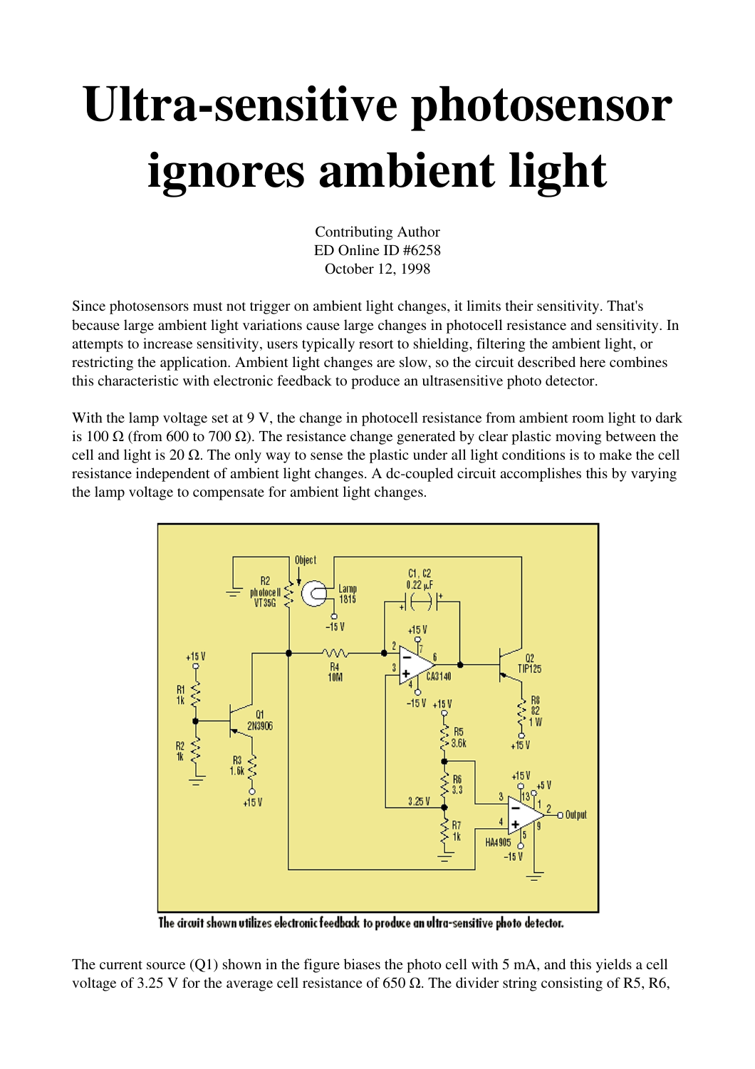## Ultra-sensitive photosensor ignores ambient light

Contributing Author ED Online ID #6258 October 12, 1998

Since photosensors must not trigger on ambient light changes, it limits their sensitivity. That's because large ambient light variations cause large changes in photocell resistance and sensitivity. In attempts to increase sensitivity, users typically resort to shielding, filtering the ambient light, or restricting the application. Ambient light changes are slow, so the circuit described here combines this characteristic with electronic feedback to produce an ultrasensitive photo detector.

With the lamp voltage set at 9 V, the change in photocell resistance from ambient room light to dark is 100 Ω (from 600 to 700 Ω). The resistance change generated by clear plastic moving between the cell and light is 20  $\Omega$ . The only way to sense the plastic under all light conditions is to make the cell resistance independent of ambient light changes. A dc-coupled circuit accomplishes this by varying the lamp voltage to compensate for ambient light changes.



The circuit shown utilizes electronic feedback to produce an ultra-sensitive photo detector.

The current source (Q1) shown in the figure biases the photo cell with 5 mA, and this yields a cell voltage of 3.25 V for the average cell resistance of 650  $\Omega$ . The divider string consisting of R5, R6,